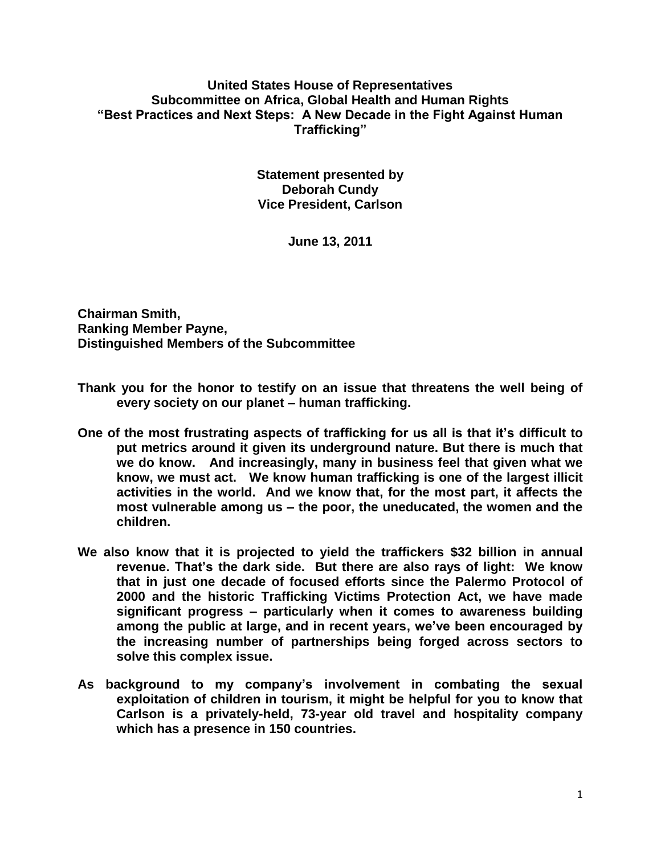## **United States House of Representatives Subcommittee on Africa, Global Health and Human Rights "Best Practices and Next Steps: A New Decade in the Fight Against Human Trafficking"**

**Statement presented by Deborah Cundy Vice President, Carlson** 

**June 13, 2011**

**Chairman Smith, Ranking Member Payne, Distinguished Members of the Subcommittee**

- **Thank you for the honor to testify on an issue that threatens the well being of every society on our planet – human trafficking.**
- **One of the most frustrating aspects of trafficking for us all is that it's difficult to put metrics around it given its underground nature. But there is much that we do know. And increasingly, many in business feel that given what we know, we must act. We know human trafficking is one of the largest illicit activities in the world. And we know that, for the most part, it affects the most vulnerable among us – the poor, the uneducated, the women and the children.**
- **We also know that it is projected to yield the traffickers \$32 billion in annual revenue. That's the dark side. But there are also rays of light: We know that in just one decade of focused efforts since the Palermo Protocol of 2000 and the historic Trafficking Victims Protection Act, we have made significant progress – particularly when it comes to awareness building among the public at large, and in recent years, we've been encouraged by the increasing number of partnerships being forged across sectors to solve this complex issue.**
- **As background to my company's involvement in combating the sexual exploitation of children in tourism, it might be helpful for you to know that Carlson is a privately-held, 73-year old travel and hospitality company which has a presence in 150 countries.**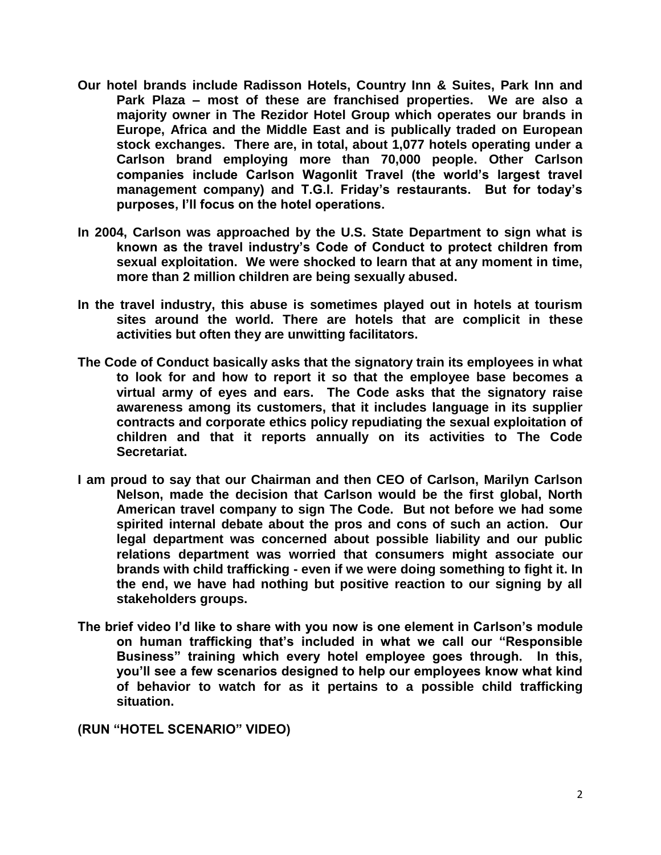- **Our hotel brands include Radisson Hotels, Country Inn & Suites, Park Inn and Park Plaza – most of these are franchised properties. We are also a majority owner in The Rezidor Hotel Group which operates our brands in Europe, Africa and the Middle East and is publically traded on European stock exchanges. There are, in total, about 1,077 hotels operating under a Carlson brand employing more than 70,000 people. Other Carlson companies include Carlson Wagonlit Travel (the world's largest travel management company) and T.G.I. Friday's restaurants. But for today's purposes, I'll focus on the hotel operations.**
- **In 2004, Carlson was approached by the U.S. State Department to sign what is known as the travel industry's Code of Conduct to protect children from sexual exploitation. We were shocked to learn that at any moment in time, more than 2 million children are being sexually abused.**
- **In the travel industry, this abuse is sometimes played out in hotels at tourism sites around the world. There are hotels that are complicit in these activities but often they are unwitting facilitators.**
- **The Code of Conduct basically asks that the signatory train its employees in what to look for and how to report it so that the employee base becomes a virtual army of eyes and ears. The Code asks that the signatory raise awareness among its customers, that it includes language in its supplier contracts and corporate ethics policy repudiating the sexual exploitation of children and that it reports annually on its activities to The Code Secretariat.**
- **I am proud to say that our Chairman and then CEO of Carlson, Marilyn Carlson Nelson, made the decision that Carlson would be the first global, North American travel company to sign The Code. But not before we had some spirited internal debate about the pros and cons of such an action. Our legal department was concerned about possible liability and our public relations department was worried that consumers might associate our brands with child trafficking - even if we were doing something to fight it. In the end, we have had nothing but positive reaction to our signing by all stakeholders groups.**
- **The brief video I'd like to share with you now is one element in Carlson's module on human trafficking that's included in what we call our "Responsible Business" training which every hotel employee goes through. In this, you'll see a few scenarios designed to help our employees know what kind of behavior to watch for as it pertains to a possible child trafficking situation.**

**(RUN "HOTEL SCENARIO" VIDEO)**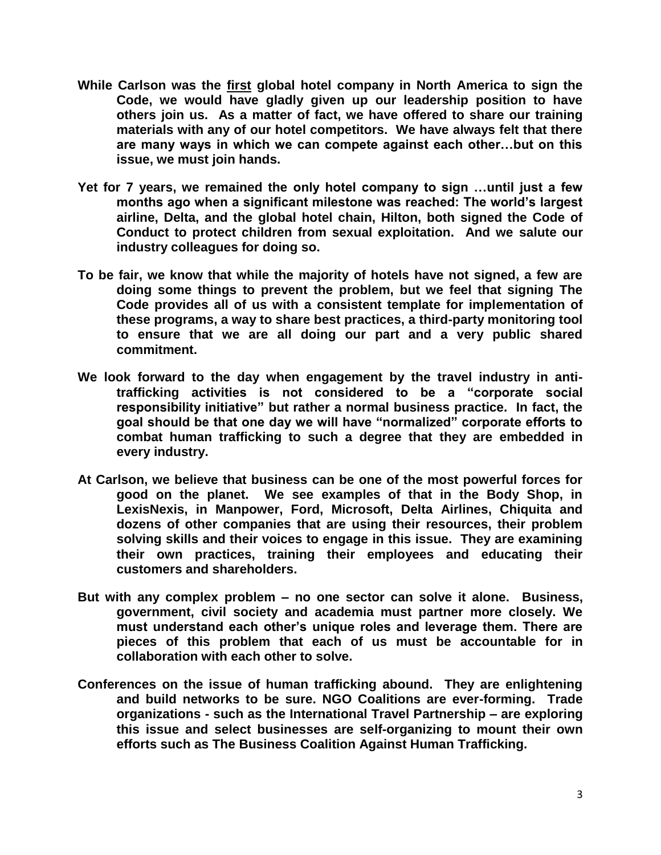- **While Carlson was the first global hotel company in North America to sign the Code, we would have gladly given up our leadership position to have others join us. As a matter of fact, we have offered to share our training materials with any of our hotel competitors. We have always felt that there are many ways in which we can compete against each other…but on this issue, we must join hands.**
- **Yet for 7 years, we remained the only hotel company to sign …until just a few months ago when a significant milestone was reached: The world's largest airline, Delta, and the global hotel chain, Hilton, both signed the Code of Conduct to protect children from sexual exploitation. And we salute our industry colleagues for doing so.**
- **To be fair, we know that while the majority of hotels have not signed, a few are doing some things to prevent the problem, but we feel that signing The Code provides all of us with a consistent template for implementation of these programs, a way to share best practices, a third-party monitoring tool to ensure that we are all doing our part and a very public shared commitment.**
- **We look forward to the day when engagement by the travel industry in antitrafficking activities is not considered to be a "corporate social responsibility initiative" but rather a normal business practice. In fact, the goal should be that one day we will have "normalized" corporate efforts to combat human trafficking to such a degree that they are embedded in every industry.**
- **At Carlson, we believe that business can be one of the most powerful forces for good on the planet. We see examples of that in the Body Shop, in LexisNexis, in Manpower, Ford, Microsoft, Delta Airlines, Chiquita and dozens of other companies that are using their resources, their problem solving skills and their voices to engage in this issue. They are examining their own practices, training their employees and educating their customers and shareholders.**
- **But with any complex problem – no one sector can solve it alone. Business, government, civil society and academia must partner more closely. We must understand each other's unique roles and leverage them. There are pieces of this problem that each of us must be accountable for in collaboration with each other to solve.**
- **Conferences on the issue of human trafficking abound. They are enlightening and build networks to be sure. NGO Coalitions are ever-forming. Trade organizations - such as the International Travel Partnership – are exploring this issue and select businesses are self-organizing to mount their own efforts such as The Business Coalition Against Human Trafficking.**